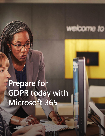

## **Prepare for GDPR today with Microsoft 365**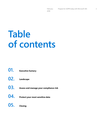## **Table of contents**

- **01. Executive Sumary**
- **02. Landscape**
- **03. Assess and manage your compliance risk**
- **04. Protect your most sensitive data**
- **05. Closing**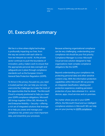### **01. Executive Summary**

We live in a time where digital technology is profoundly impacting our lives, from the way we connect with each other to how we interpret our world. As the private sector continues to push the boundaries of innovation, policy makers work to ensure that the appropriate personal data oversight and safeguards are in place through compliance standards such as the European Union's General Data Protection Regulation (GDPR).

To thrive in this privacy-focused era, you need a trusted partner who can help you not only overcome the challenges but make the most of the opportunities that lie ahead. The Microsoft Cloud is uniquely positioned to help you meet your GDPR compliance obligations. Microsoft 365 brings together Office 365, Windows 10, and Enterprise Mobility + Security—offering a rich set of integrated solutions that leverage AI to help you assess and manage your compliance risk, protect your most important data, and streamline your processes.

Because achieving organizational compliance can be very challenging, understanding your compliance risk should be your first priority. Compliance Manager is a cross–Microsoft Cloud services solution designed to help organizations meet complex compliance obligations like the GDPR.

Beyond understanding your compliance risk, protecting personal data and other sensitive content is key. With the information protection capabilities within Microsoft 365 we provide an integrated classification, labeling and protection experience, enabling persistent protection of your data wherever it is – across devices, apps, cloud services and on-premises.

No matter where you are in your GDPR efforts, the Microsoft Cloud and our intelligent compliance solutions in Microsoft 365 can help you on your journey to [GDPR compliance](https://www.microsoft.com/en-us/TrustCenter/Privacy/gdpr/default.aspx).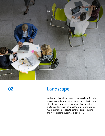

## **02. Landscape**

We live in a time where digital technology is profoundly impacting our lives, from the way we connect with each other to how we interpret our world. Central to this digital transformation is the ability to store and analyze massive amounts of data to generate deeper insights and more personal customer experiences.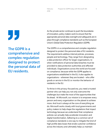# "

**The GDPR is a comprehensive and complex regulation designed to protect the personal data of EU residents.**

As the private sector continues to push the boundaries of innovation, policy makers work to ensure that the appropriate personal data oversight and safeguards are in place through compliance standards such as the European Union's Global Data Protection Regulation (GDPR).

The GDPR is is a comprehensive and complex regulation designed to protect the personal data of EU residents. The requirements address internal policies, processes, people and technology. They range from designating a data protection officer for larger organizations, to when notifications of personal data breaches must be provided to data protection authorities and affected individuals. Organizations across the world are focused on compliance, because while the GDPR applies to organizations established in the EU, it also applies to organizations – wherever they are located – who offer goods or service in the EU or monitor the behavior of residents in the EU.

To thrive in this privacy-focused era, you need a trusted partner who can help you not only overcome the challenges but make the most of the opportunities that lie ahead. At Microsoft, our mission is to empower every person and every organization on the planet to achieve more. And trust is always at the core of everything we do. Microsoft works closely with local governments and policy makers to help shape the regulations that impact technology because we understand that compliance policies can actually help accelerate innovation and digital transformation. Adhering to a common set of compliance standards is one way to mitigate the kind of high profile data losses that erode customer confidence across the industry and ultimately helps us maintain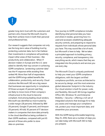

greater long-term trust with the customers and partners who choose the Microsoft cloud to help them achieve more in both their personal and professional lives.

Our research suggests that companies not only see the long-term value of building trust by protecting customer data, but in fact believe their investments in compliance will positively impact other areas of their business—like productivity and collaboration. When IT decision makers in Europe and the U.S. were asked to identify their top concern in achieving GDPR compliance, "protecting customer data" was the #1 response while avoiding fines ranked #8. More than half of respondents said the GDPR brings added benefits like collaboration, productivity, and security. Cloud solutions like Microsoft 365 are a big reason that businesses see opportunity in compliance. Of those surveyed, 41 percent said they are likely to move more of their company's infrastructure to the cloud to become compliant. And among leading cloud vendors, Microsoft was identified as most trusted by a wide margin (28 percent), followed by IBM (16 percent), Google (11 percent), and Amazon (10 percent). All told, 92 percent of IT decision makers in companies that store data primarily in the cloud identified as being confident in their GDPR readiness, compared with just 65 percent of those who prefer to store data on-premises.

Your journey to GDPR compliance includes identifying what personal data you have and where it resides, governing how it is used and accessed, establishing adequate security controls, and preparing to respond to requests from individuals whose personal data you have. This may sound like a lot of work, but Microsoft is here to help. We've taken a principled approach to building privacy, security, compliance, and transparency into everything we do, which means that they are integrated into the products and services you use every day.

The Microsoft Cloud is uniquely positioned to help you meet your GDPR compliance obligations, with the largest certified compliance portfolio, services architected to be secure by design, and the most extensive global datacenter footprint in the industry. Our cloud solution is built for power, scale, and flexibility. Microsoft 365 brings together Office 365, Windows 10, and Enterprise Mobility + Security—offering a rich set of integrated solutions that leverage AI to help you assess and manage your compliance risk, protect your most important data, and streamline your processes.

With the GDPR being enforceable beginning May 25, 2018, there are a number of steps you can take today with Microsoft 365 to help you prepare.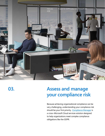

**03.**

## **Assess and manage your compliance risk**

Because achieving organizational compliance can be very challenging, understanding your compliance risk should be your first priority. [Compliance Manager](https://aka.ms/cmpblog) is a cross–Microsoft Cloud services solution designed to help organizations meet complex compliance obligations like the GDPR.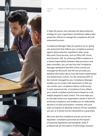

It helps the person who oversees the data protection strategy for your organization (sometimes called a data protection officer) to manage the compliance and risk assessment process.

Compliance Manager helps you perform an on-going risk assessment that reflects your compliance posture against data protection regulations when using Microsoft Cloud services, such as Office 365, Azure, and Dynamics 365. As achieving GDPR compliance is a shared responsibility between data processors and data controllers, you can see from the Compliance Manager dashboard that 60% of the controls are managed by Microsoft, and the tool provides you detailed information about how Microsoft implemented and tested those controls. For the remaining 40% of the controls managed by you, Compliance Manager enables you to conduct self-assessment so that you can monitor your compliance stature continuously. In each assessment tile, a Compliance Score reflects your overall compliance performance based on a risk weight assigned to each control. The score helps you to estimate where your organization stands in terms of achieving compliance, and enables you to make better decisions on tasks prioritization. However, the score does not express an absolute measure of how compliant you are, so it should not be interpreted as a guarantee.

We know that the compliance process can be very disjointed. Compliance personnel are the experts of industrial regulations and standards, while IT professionals are the experts of technology solutions.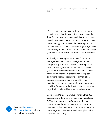It's challenging to find talent with expertise in both areas to help define, implement, and assess controls. Therefore, we provide recommended customer actions in each customer-managed control to help you connect the technology solutions with the GDPR regulatory requirements. You can follow the step-by-step guidance to improve your data protection capabilities and design your own business process for internal self-assessments.

To simplify your compliance process, Compliance Manager provides a control management tool to help you assign, track, and record your compliancerelated activities, and audit-ready reporting to help you be more prepared for internal or external audits. Authorized users in your organization can upload documents, such as screenshots of configuration, business process documents, internal training materials, and more, as evidence for your compliance activities. You can view the links to evidence that your organization collected in the audit-ready reports.

Compliance Manager is available for all Office 365 Business and Enterprise subscribers in public cloud. GCC customers can access Compliance Manager, however users should evaluate whether to use the document upload feature of compliance manager, as the storage for document upload is compliant with Office 365 Tier C only.

Read the [Compliance](https://aka.ms/cmwhitepaper)  **[Manager whitepaper](https://aka.ms/cmwhitepaper) to learn** more about the product.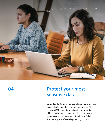

**04.**

### **Protect your most sensitive data**

Beyond understanding your compliance risk, protecting personal data and other sensitive content is key.At its core, GDPR is about protecting the personal data of individuals – making sure there is proper security, governance and management of such data. To help ensure that you're effectively protecting not only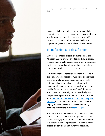personal data but also other sensitive content that's relevant to your compliance goals, you should implement solutions and processes that enable you to identify, classify, protect and monitor the data that is most important to you – no matter where it lives or travels.

#### Identification and classification

With the information protection capabilities within Microsoft 365 we provide an integrated classification, labeling and protection experience, enabling persistent protection of your data wherever it is – across devices, apps, cloud services and on-premises.

 Azure Information Protection scanner, which is now generally available addresses hybrid and on-premises scenarios by allowing you to configure policies to automatically discover, classify, label and protect documents in your on-premises repositories such as the File Servers and on-premises SharePoint servers. The scanner can be configured to periodically scan on-premises repositories based on company policies. Read "Azure Information Protection scanner in public [preview"](https://cloudblogs.microsoft.com/enterprisemobility/2017/10/25/azure-information-protection-scanner-in-public-preview/) to learn more about the scanner. You can deploy the scanner in your own environment by following instructions in this **technical quide**.

The next step is to protect data anywhere and prevent data loss. Today, data travels through many locations – across devices, apps, cloud services, and on-premises. It is important to build protection into the file, so this protection persistently stays with the data itself.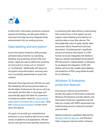

As Microsoft's information protection solutions expand and develop, we take great strides in ensuring Cloud App Security integrates these advancements into our existing services.

#### Data labeling and encryption

Azure Information Protection (AIP) provides persistent data protection by classifying, labelling, and protecting sensitive files and emails. Labels are used to define the sensitivity of a document or email, such as "General" or "Confidential." Additionally, AIP allows for encryption and authorization, ensuring users must successfully authenticate to access the material.

Microsoft Cloud App Security (MCAS) can read files labeled by AIP and set policies based on the file labels. Furthermore, the service will scan and classify sensitive files in cloud apps and automatically apply AIP labels for protection – including encryption. Read the "Automatically [apply labels to sensitive files in cloud apps"](https://cloudblogs.microsoft.com/enterprisemobility/2018/01/10/automatically-apply-labels-to-sensitive-files-in-cloud-apps/) blog and [technical documentation](https://docs.microsoft.com/cloud-app-security/azip-integration) to learn more about this feature.

Our goal is to provide you comprehensive protection of your sensitive data across a wide variety of platforms and applications. We also ensure users get the same seamless experience in protecting their data without compromising their productivity. In that regard, we now support native labeling and protection of sensitive data on your Mac devices. This will enable Mac users to easily classify, label and protect Word, PowerPoint and Excel documents. Considering that a significant amount of sensitive information is in PDF format, we've also integrated with Adobe to help you natively read labeled and protected PDF documents in Adobe Reader on Windows. As we deepen the integration of AIP with Adobe, we'll soon also enable native labeling and protection of PDFs using Adobe Acrobat Pro on Windows.

#### Windows 10 Enterprise protection features

Ensuring your devices are protected is another key aspect of information protection. Windows 10 Enterprise provides Identity and Information Protection capabilities that will help you comply with GDPR requirements by implementing security measures to protect personal data.

Identity protection capabilities delivered by [Windows Hello for Business](https://docs.microsoft.com/windows/access-protection/hello-for-business/hello-identity-verification) and Windows Hello companion devices further enhances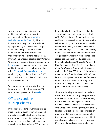hardware-based isolation attacks rather than simply trying to defend against them. Information protection capabilities in Windows 10 Enterprise including device protection using **[BitLocker](https://docs.microsoft.com/windows/device-security/bitlocker/bitlocker-overview)**, data separation between personal and business data, and data loss prevention using [Windows Information Protection](https://docs.microsoft.com/windows/threat-protection/windows-information-protection/protect-enterprise-data-using-wip), which is tightly coupled with Microsoft 365 cloud services such as Office 365 and Azure Information Protection.

To review more about how Windows 10 Enterprise can assist with meeting GDPR requirements, please visit this [article](https://docs.microsoft.com/windows/configuration/gdpr-win10-whitepaper).

your ability to leverage biometrics and multifactor authentication to protect personal and sensitive data. [Windows](https://docs.microsoft.com/windows/access-protection/credential-guard/credential-guard)  **[Defender Credential Guard](https://docs.microsoft.com/windows/access-protection/credential-guard/credential-guard) significantly** improves security against credential theft by implementing an architectural change in Windows designed to help eliminate

#### Office 365 and AIP labeling schemas

In the spirit of working towards providing a more consistent classification, labeling and protection model that will be used across our information protection technologies, we are previewing a shared labeling schema that will be used across Office 365 and Azure

Information Protection. This means that the same default labels will be used across both Office 365 and Azure Information Protection, and labels you create in either of these services will automatically be synchronized in the other service – eliminating the need to create labels in two different places. The consistent labeling model also helps ensure that sensitivity labels – regardless of where they were created – are recognized and understood across Azure Information Protection, Office 365 Advanced Data Governance, Office 365 DLP and Microsoft Cloud App Security. For example, if you create a label in the Office 365 Security & Compliance Center for "Confidential – Personal Data", this label will also appear in the Azure Information Protection admin portal. This is a big step forward in helping provide a consistent and predictable approach to data labeling.

The shared labeling schema will also make it easier for end-users to apply the appropriate sensitivity label and protection while working on documents or sending emails. We are building labeling capabilities natively into the core Office apps – including Word, PowerPoint, Excel and Outlook – no need to download or install any additional plug-ins. For example, if an end-user is working on a document that contains personal data, such as an employee ID number, the worker can easily select the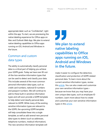appropriate label, such as "Confidential", right within the app. To start, we are previewing the native labeling experience for Office apps on Mac and Outlook Web App. We plan to extend native labeling capabilities to Office apps running on iOS, Android and Windows in the future.

#### Common and custom data types

The ability to automatically classify personal data is a critical part of helping you achieve your GDPR goals. Today we have over 85 outof-the-box sensitive information types that can be used to detect and classify your data. This includes several of the most common personal information data types, such as credit card numbers, national ID numbers and passport numbers. We will continue to add to these built-in sensitive information types and will soon provide a GDPR template to help detect and classify personal data relevant to GDPR. While many of the existing sensitive information types are relevant to the GDPR, the upcoming GDPR template will help consolidate these into a single template, as well as add several new personal data types to detect (such as addresses, telephone numbers, medical information). The new sensitive information template will

## "

**We plan to extend native labeling capabilities to Office apps running on iOS, Android and Windows in the future.** 

make it easier to configure the detection, classification and protection of GDPR related personal data. To learn more about the current sensitive information types, review this [article](https://support.office.com/article/What-the-sensitive-information-types-look-for-fd505979-76be-4d9f-b459-abef3fc9e86b). You can also create and customize your own sensitive information types – because we know that you may have your own unique data types, such as employee ID numbers. Learn more about how to create and customize your own sensitive information types in this [article](https://support.office.com/article/Create-a-custom-sensitive-information-type-82c382a5-b6db-44fd-995d-b333b3c7fc30?ui=en-US&rs=en-US&ad=US).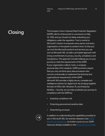## **Closing**

The European Union's General Data Protection Regulation (GDPR) calls for enforcement to commence on May 25, 2018, and you should not delay evaluating your obligations under the regulation. Trust is central to Microsoft's mission to empower every person and every organization on the planet to achieve more. So that you can trust the Microsoft products and services you use, such as Microsoft 365, we take a principled approach with strong commitments to privacy, security, compliance, and transparency. This approach includes helping you on your journey to meet the requirements of the GDPR. If your organization collects, hosts, or analyzes personal data of EU residents, GDPR provisions require that you only use third-party data processors who commit contractually to implement the technical and organizational requirements of the GDPR. Microsoft 365 provides a highly secure, complete and intelligence solution for digital work. By bringing together the best of Office 365, Windows 10, and Enterprise Mobility + Security, we can help accelerate your journey to compliance with the GDPR by:

- Assessing compliance risk
- Protecting personal and sensitive data
- Streamlining processes



In addition to understanding the capabilities provided to you in Microsoft 365, we recently released a new GDPR [benchmark assessment](https://assessment.microsoft.com/gdpr-compliance) to further round out our GDPR resources already available on the [Microsoft Trust Center.](https://www.microsoft.com/TrustCenter/Privacy/gdpr)